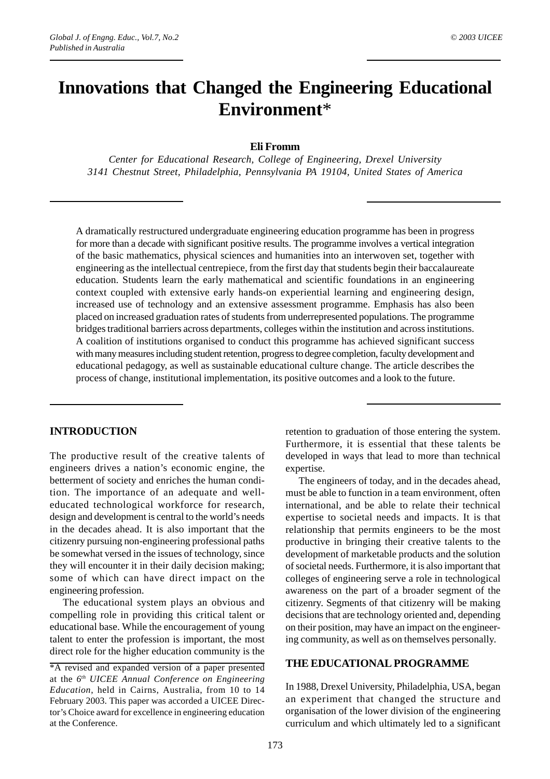# **Innovations that Changed the Engineering Educational Environment**\*

#### **Eli Fromm**

*Center for Educational Research, College of Engineering, Drexel University 3141 Chestnut Street, Philadelphia, Pennsylvania PA 19104, United States of America*

A dramatically restructured undergraduate engineering education programme has been in progress for more than a decade with significant positive results. The programme involves a vertical integration of the basic mathematics, physical sciences and humanities into an interwoven set, together with engineering as the intellectual centrepiece, from the first day that students begin their baccalaureate education. Students learn the early mathematical and scientific foundations in an engineering context coupled with extensive early hands-on experiential learning and engineering design, increased use of technology and an extensive assessment programme. Emphasis has also been placed on increased graduation rates of students from underrepresented populations. The programme bridges traditional barriers across departments, colleges within the institution and across institutions. A coalition of institutions organised to conduct this programme has achieved significant success with many measures including student retention, progress to degree completion, faculty development and educational pedagogy, as well as sustainable educational culture change. The article describes the process of change, institutional implementation, its positive outcomes and a look to the future.

# **INTRODUCTION**

The productive result of the creative talents of engineers drives a nation's economic engine, the betterment of society and enriches the human condition. The importance of an adequate and welleducated technological workforce for research, design and development is central to the world's needs in the decades ahead. It is also important that the citizenry pursuing non-engineering professional paths be somewhat versed in the issues of technology, since they will encounter it in their daily decision making; some of which can have direct impact on the engineering profession.

The educational system plays an obvious and compelling role in providing this critical talent or educational base. While the encouragement of young talent to enter the profession is important, the most direct role for the higher education community is the retention to graduation of those entering the system. Furthermore, it is essential that these talents be developed in ways that lead to more than technical expertise.

The engineers of today, and in the decades ahead, must be able to function in a team environment, often international, and be able to relate their technical expertise to societal needs and impacts. It is that relationship that permits engineers to be the most productive in bringing their creative talents to the development of marketable products and the solution of societal needs. Furthermore, it is also important that colleges of engineering serve a role in technological awareness on the part of a broader segment of the citizenry. Segments of that citizenry will be making decisions that are technology oriented and, depending on their position, may have an impact on the engineering community, as well as on themselves personally.

## **THE EDUCATIONAL PROGRAMME**

In 1988, Drexel University, Philadelphia, USA, began an experiment that changed the structure and organisation of the lower division of the engineering curriculum and which ultimately led to a significant

<sup>\*</sup>A revised and expanded version of a paper presented at the *6th UICEE Annual Conference on Engineering Education*, held in Cairns, Australia, from 10 to 14 February 2003. This paper was accorded a UICEE Director's Choice award for excellence in engineering education at the Conference.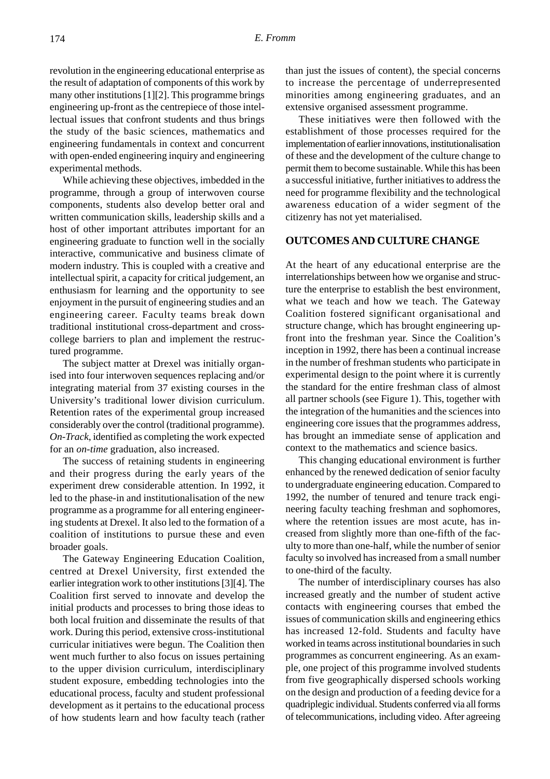revolution in the engineering educational enterprise as the result of adaptation of components of this work by many other institutions [1][2]. This programme brings engineering up-front as the centrepiece of those intellectual issues that confront students and thus brings the study of the basic sciences, mathematics and engineering fundamentals in context and concurrent with open-ended engineering inquiry and engineering experimental methods.

While achieving these objectives, imbedded in the programme, through a group of interwoven course components, students also develop better oral and written communication skills, leadership skills and a host of other important attributes important for an engineering graduate to function well in the socially interactive, communicative and business climate of modern industry. This is coupled with a creative and intellectual spirit, a capacity for critical judgement, an enthusiasm for learning and the opportunity to see enjoyment in the pursuit of engineering studies and an engineering career. Faculty teams break down traditional institutional cross-department and crosscollege barriers to plan and implement the restructured programme.

The subject matter at Drexel was initially organised into four interwoven sequences replacing and/or integrating material from 37 existing courses in the University's traditional lower division curriculum. Retention rates of the experimental group increased considerably over the control (traditional programme). *On-Track*, identified as completing the work expected for an *on-time* graduation, also increased.

The success of retaining students in engineering and their progress during the early years of the experiment drew considerable attention. In 1992, it led to the phase-in and institutionalisation of the new programme as a programme for all entering engineering students at Drexel. It also led to the formation of a coalition of institutions to pursue these and even broader goals.

The Gateway Engineering Education Coalition, centred at Drexel University, first extended the earlier integration work to other institutions [3][4]. The Coalition first served to innovate and develop the initial products and processes to bring those ideas to both local fruition and disseminate the results of that work. During this period, extensive cross-institutional curricular initiatives were begun. The Coalition then went much further to also focus on issues pertaining to the upper division curriculum, interdisciplinary student exposure, embedding technologies into the educational process, faculty and student professional development as it pertains to the educational process of how students learn and how faculty teach (rather than just the issues of content), the special concerns to increase the percentage of underrepresented minorities among engineering graduates, and an extensive organised assessment programme.

These initiatives were then followed with the establishment of those processes required for the implementation of earlier innovations, institutionalisation of these and the development of the culture change to permit them to become sustainable. While this has been a successful initiative, further initiatives to address the need for programme flexibility and the technological awareness education of a wider segment of the citizenry has not yet materialised.

### **OUTCOMES AND CULTURE CHANGE**

At the heart of any educational enterprise are the interrelationships between how we organise and structure the enterprise to establish the best environment, what we teach and how we teach. The Gateway Coalition fostered significant organisational and structure change, which has brought engineering upfront into the freshman year. Since the Coalition's inception in 1992, there has been a continual increase in the number of freshman students who participate in experimental design to the point where it is currently the standard for the entire freshman class of almost all partner schools (see Figure 1). This, together with the integration of the humanities and the sciences into engineering core issues that the programmes address, has brought an immediate sense of application and context to the mathematics and science basics.

This changing educational environment is further enhanced by the renewed dedication of senior faculty to undergraduate engineering education. Compared to 1992, the number of tenured and tenure track engineering faculty teaching freshman and sophomores, where the retention issues are most acute, has increased from slightly more than one-fifth of the faculty to more than one-half, while the number of senior faculty so involved has increased from a small number to one-third of the faculty.

The number of interdisciplinary courses has also increased greatly and the number of student active contacts with engineering courses that embed the issues of communication skills and engineering ethics has increased 12-fold. Students and faculty have worked in teams across institutional boundaries in such programmes as concurrent engineering. As an example, one project of this programme involved students from five geographically dispersed schools working on the design and production of a feeding device for a quadriplegic individual. Students conferred via all forms of telecommunications, including video. After agreeing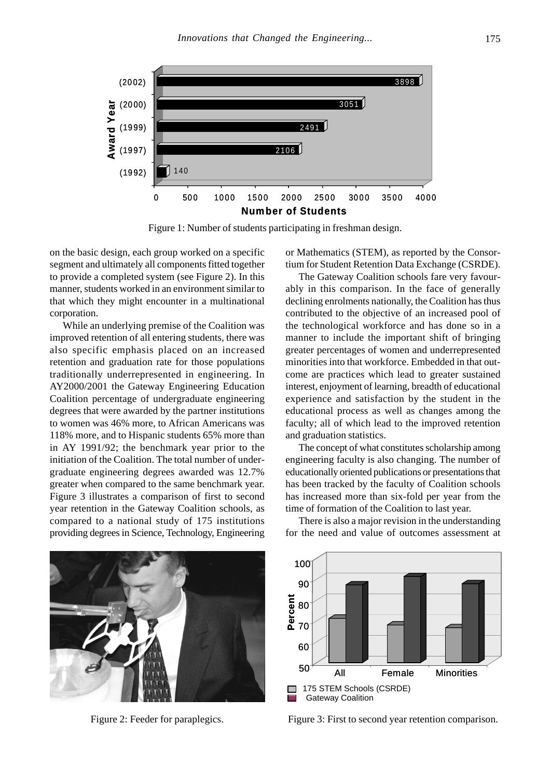

Figure 1: Number of students participating in freshman design.

on the basic design, each group worked on a specific segment and ultimately all components fitted together to provide a completed system (see Figure 2). In this manner, students worked in an environment similar to that which they might encounter in a multinational corporation.

While an underlying premise of the Coalition was improved retention of all entering students, there was also specific emphasis placed on an increased retention and graduation rate for those populations traditionally underrepresented in engineering. In AY2000/2001 the Gateway Engineering Education Coalition percentage of undergraduate engineering degrees that were awarded by the partner institutions to women was 46% more, to African Americans was 118% more, and to Hispanic students 65% more than in AY 1991/92; the benchmark year prior to the initiation of the Coalition. The total number of undergraduate engineering degrees awarded was 12.7% greater when compared to the same benchmark year. Figure 3 illustrates a comparison of first to second year retention in the Gateway Coalition schools, as compared to a national study of 175 institutions providing degrees in Science, Technology, Engineering or Mathematics (STEM), as reported by the Consortium for Student Retention Data Exchange (CSRDE).

The Gateway Coalition schools fare very favourably in this comparison. In the face of generally declining enrolments nationally, the Coalition has thus contributed to the objective of an increased pool of the technological workforce and has done so in a manner to include the important shift of bringing greater percentages of women and underrepresented minorities into that workforce. Embedded in that outcome are practices which lead to greater sustained interest, enjoyment of learning, breadth of educational experience and satisfaction by the student in the educational process as well as changes among the faculty; all of which lead to the improved retention and graduation statistics.

The concept of what constitutes scholarship among engineering faculty is also changing. The number of educationally oriented publications or presentations that has been tracked by the faculty of Coalition schools has increased more than six-fold per year from the time of formation of the Coalition to last year.

There is also a major revision in the understanding for the need and value of outcomes assessment at





Figure 2: Feeder for paraplegics. Figure 3: First to second year retention comparison.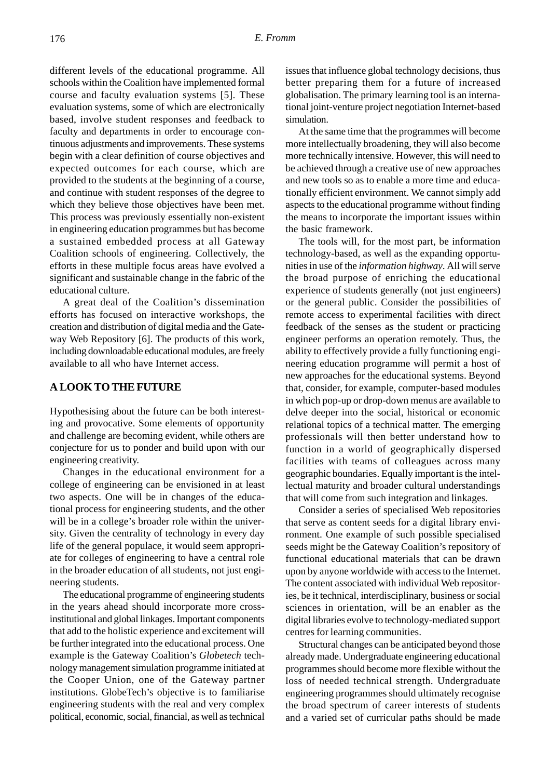different levels of the educational programme. All schools within the Coalition have implemented formal course and faculty evaluation systems [5]. These evaluation systems, some of which are electronically based, involve student responses and feedback to faculty and departments in order to encourage continuous adjustments and improvements. These systems begin with a clear definition of course objectives and expected outcomes for each course, which are provided to the students at the beginning of a course, and continue with student responses of the degree to which they believe those objectives have been met. This process was previously essentially non-existent in engineering education programmes but has become a sustained embedded process at all Gateway Coalition schools of engineering. Collectively, the efforts in these multiple focus areas have evolved a significant and sustainable change in the fabric of the educational culture.

A great deal of the Coalition's dissemination efforts has focused on interactive workshops, the creation and distribution of digital media and the Gateway Web Repository [6]. The products of this work, including downloadable educational modules, are freely available to all who have Internet access.

## **A LOOK TO THE FUTURE**

Hypothesising about the future can be both interesting and provocative. Some elements of opportunity and challenge are becoming evident, while others are conjecture for us to ponder and build upon with our engineering creativity.

Changes in the educational environment for a college of engineering can be envisioned in at least two aspects. One will be in changes of the educational process for engineering students, and the other will be in a college's broader role within the university. Given the centrality of technology in every day life of the general populace, it would seem appropriate for colleges of engineering to have a central role in the broader education of all students, not just engineering students.

The educational programme of engineering students in the years ahead should incorporate more crossinstitutional and global linkages. Important components that add to the holistic experience and excitement will be further integrated into the educational process. One example is the Gateway Coalition's *Globetech* technology management simulation programme initiated at the Cooper Union, one of the Gateway partner institutions. GlobeTech's objective is to familiarise engineering students with the real and very complex political, economic, social, financial, as well as technical issues that influence global technology decisions, thus better preparing them for a future of increased globalisation. The primary learning tool is an international joint-venture project negotiation Internet-based simulation.

At the same time that the programmes will become more intellectually broadening, they will also become more technically intensive. However, this will need to be achieved through a creative use of new approaches and new tools so as to enable a more time and educationally efficient environment. We cannot simply add aspects to the educational programme without finding the means to incorporate the important issues within the basic framework.

The tools will, for the most part, be information technology-based, as well as the expanding opportunities in use of the *information highway*. All will serve the broad purpose of enriching the educational experience of students generally (not just engineers) or the general public. Consider the possibilities of remote access to experimental facilities with direct feedback of the senses as the student or practicing engineer performs an operation remotely. Thus, the ability to effectively provide a fully functioning engineering education programme will permit a host of new approaches for the educational systems. Beyond that, consider, for example, computer-based modules in which pop-up or drop-down menus are available to delve deeper into the social, historical or economic relational topics of a technical matter. The emerging professionals will then better understand how to function in a world of geographically dispersed facilities with teams of colleagues across many geographic boundaries. Equally important is the intellectual maturity and broader cultural understandings that will come from such integration and linkages.

Consider a series of specialised Web repositories that serve as content seeds for a digital library environment. One example of such possible specialised seeds might be the Gateway Coalition's repository of functional educational materials that can be drawn upon by anyone worldwide with access to the Internet. The content associated with individual Web repositories, be it technical, interdisciplinary, business or social sciences in orientation, will be an enabler as the digital libraries evolve to technology-mediated support centres for learning communities.

Structural changes can be anticipated beyond those already made. Undergraduate engineering educational programmes should become more flexible without the loss of needed technical strength. Undergraduate engineering programmes should ultimately recognise the broad spectrum of career interests of students and a varied set of curricular paths should be made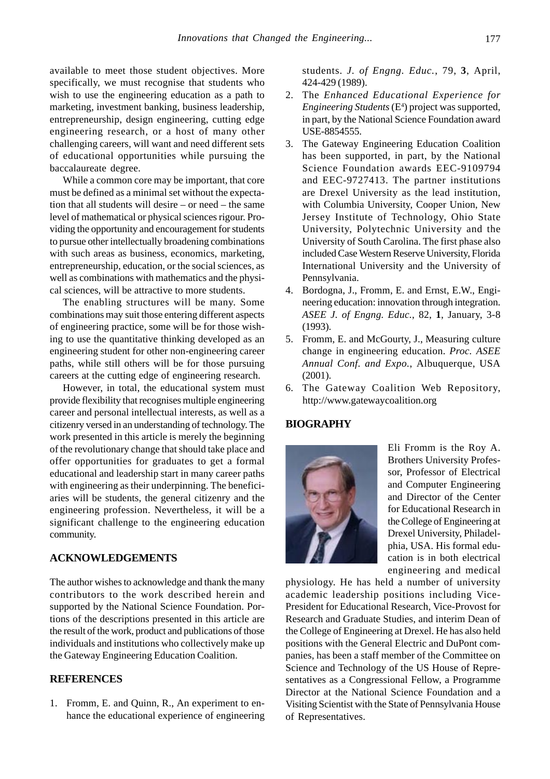available to meet those student objectives. More specifically, we must recognise that students who wish to use the engineering education as a path to marketing, investment banking, business leadership, entrepreneurship, design engineering, cutting edge engineering research, or a host of many other challenging careers, will want and need different sets of educational opportunities while pursuing the baccalaureate degree.

While a common core may be important, that core must be defined as a minimal set without the expectation that all students will desire – or need – the same level of mathematical or physical sciences rigour. Providing the opportunity and encouragement for students to pursue other intellectually broadening combinations with such areas as business, economics, marketing, entrepreneurship, education, or the social sciences, as well as combinations with mathematics and the physical sciences, will be attractive to more students.

The enabling structures will be many. Some combinations may suit those entering different aspects of engineering practice, some will be for those wishing to use the quantitative thinking developed as an engineering student for other non-engineering career paths, while still others will be for those pursuing careers at the cutting edge of engineering research.

However, in total, the educational system must provide flexibility that recognises multiple engineering career and personal intellectual interests, as well as a citizenry versed in an understanding of technology. The work presented in this article is merely the beginning of the revolutionary change that should take place and offer opportunities for graduates to get a formal educational and leadership start in many career paths with engineering as their underpinning. The beneficiaries will be students, the general citizenry and the engineering profession. Nevertheless, it will be a significant challenge to the engineering education community.

### **ACKNOWLEDGEMENTS**

The author wishes to acknowledge and thank the many contributors to the work described herein and supported by the National Science Foundation. Portions of the descriptions presented in this article are the result of the work, product and publications of those individuals and institutions who collectively make up the Gateway Engineering Education Coalition.

#### **REFERENCES**

1. Fromm, E. and Quinn, R., An experiment to enhance the educational experience of engineering

students. *J. of Engng. Educ.*, 79, **3**, April, 424-429 (1989).

- 2. The *Enhanced Educational Experience for Engineering Students* (E4 ) project was supported, in part, by the National Science Foundation award USE-8854555.
- 3. The Gateway Engineering Education Coalition has been supported, in part, by the National Science Foundation awards EEC-9109794 and EEC-9727413. The partner institutions are Drexel University as the lead institution, with Columbia University, Cooper Union, New Jersey Institute of Technology, Ohio State University, Polytechnic University and the University of South Carolina. The first phase also included Case Western Reserve University, Florida International University and the University of Pennsylvania.
- 4. Bordogna, J., Fromm, E. and Ernst, E.W., Engineering education: innovation through integration. *ASEE J. of Engng. Educ.*, 82, **1**, January, 3-8 (1993).
- 5. Fromm, E. and McGourty, J., Measuring culture change in engineering education. *Proc. ASEE Annual Conf. and Expo.*, Albuquerque, USA (2001).
- 6. The Gateway Coalition Web Repository, http://www.gatewaycoalition.org

# **BIOGRAPHY**



Eli Fromm is the Roy A. Brothers University Professor, Professor of Electrical and Computer Engineering and Director of the Center for Educational Research in the College of Engineering at Drexel University, Philadelphia, USA. His formal education is in both electrical engineering and medical

physiology. He has held a number of university academic leadership positions including Vice-President for Educational Research, Vice-Provost for Research and Graduate Studies, and interim Dean of the College of Engineering at Drexel. He has also held positions with the General Electric and DuPont companies, has been a staff member of the Committee on Science and Technology of the US House of Representatives as a Congressional Fellow, a Programme Director at the National Science Foundation and a Visiting Scientist with the State of Pennsylvania House of Representatives.